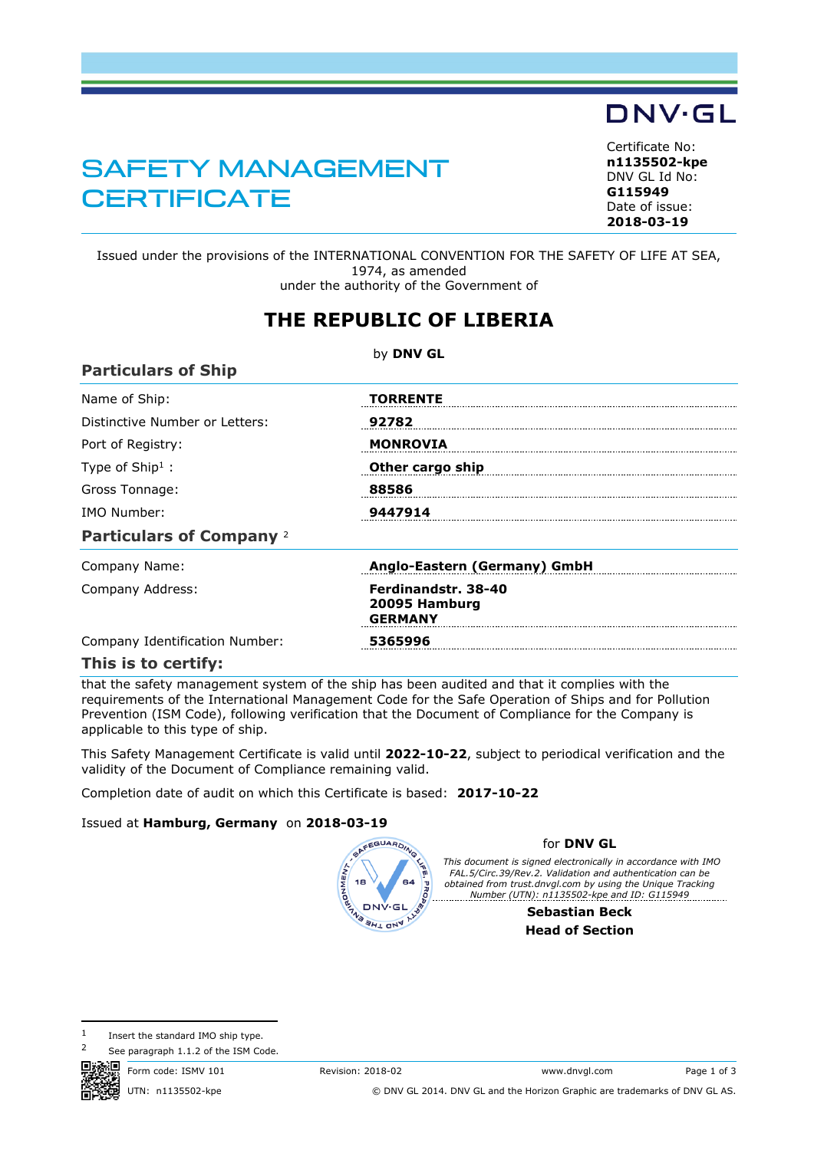## SAFETY MANAGEMENT **CERTIFICATE**

<span id="page-0-1"></span>**n1135502-kpe** DNV GL Id No: **G115949** Date of issue: **[2018-03-19](#page-0-0)**

Issued under the provisions of the INTERNATIONAL CONVENTION FOR THE SAFETY OF LIFE AT SEA, 1974, as amended under the authority of the Government of

## **THE REPUBLIC OF LIBERIA**

|                                 | by DNV GL                                              |  |  |  |
|---------------------------------|--------------------------------------------------------|--|--|--|
| <b>Particulars of Ship</b>      |                                                        |  |  |  |
| Name of Ship:                   | <b>TORRENTE</b>                                        |  |  |  |
| Distinctive Number or Letters:  | 92782                                                  |  |  |  |
| Port of Registry:               | <b>MONROVIA</b>                                        |  |  |  |
| Type of $Ship1$ :               | Other cargo ship                                       |  |  |  |
| Gross Tonnage:                  | 88586                                                  |  |  |  |
| IMO Number:                     | 9447914                                                |  |  |  |
| <b>Particulars of Company 2</b> |                                                        |  |  |  |
| Company Name:                   | Anglo-Eastern (Germany) GmbH                           |  |  |  |
| Company Address:                | Ferdinandstr. 38-40<br>20095 Hamburg<br><b>GERMANY</b> |  |  |  |
| Company Identification Number:  | 5365996                                                |  |  |  |
| This is to certify:             |                                                        |  |  |  |

that the safety management system of the ship has been audited and that it complies with the requirements of the International Management Code for the Safe Operation of Ships and for Pollution Prevention (ISM Code), following verification that the Document of Compliance for the Company is applicable to this type of ship.

This Safety Management Certificate is valid until **2022-10-22**, subject to periodical verification and the validity of the Document of Compliance remaining valid.

Completion date of audit on which this Certificate is based: **2017-10-22**

## Issued at **Hamburg, Germany** on **2018-03-19**

<span id="page-0-0"></span>

## for **DNV GL**

*This document is signed electronically in accordance with IMO FAL.5/Circ.39/Rev.2. Validation and authentication can be obtained from trust.dnvgl.com by using the Unique Tracking Number (UTN): n1135502-kpe and ID: G115949*

> **Sebastian Beck Head of Section**

 $1$  Insert the standard IMO ship type.

See paragraph 1.1.2 of the ISM Code.

Form code: ISMV 101 Revision: 2018-02 Www.dnvgl.com Page 1 of 3 UTN: n1135502-kpe © DNV GL 2014. DNV GL and the Horizon Graphic are trademarks of DNV GL AS.



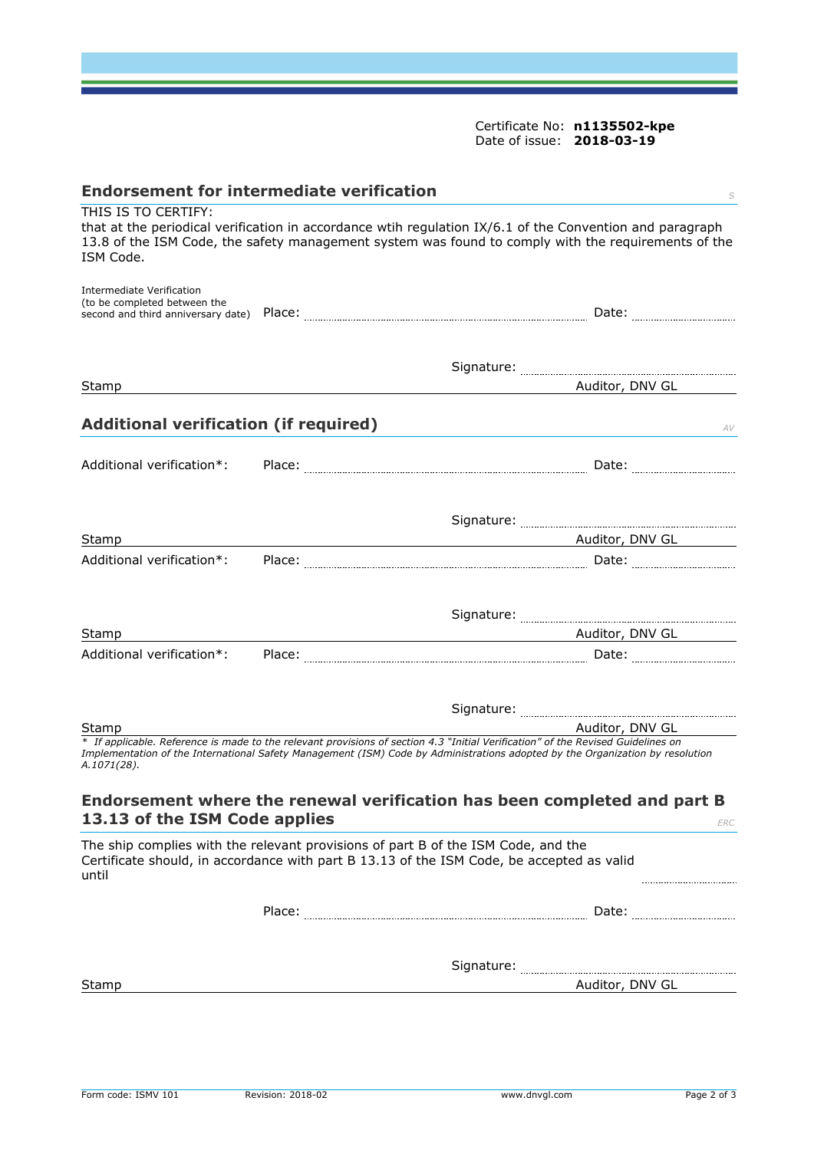Certificate No: **[n1135502-kpe](#page-0-1)** Date of issue: **[2018-03-19](#page-0-0)**

| <b>Endorsement for intermediate verification</b>                 |                                                                                                                                                                                                                 |
|------------------------------------------------------------------|-----------------------------------------------------------------------------------------------------------------------------------------------------------------------------------------------------------------|
| THIS IS TO CERTIFY:<br>ISM Code.                                 | that at the periodical verification in accordance wtih regulation IX/6.1 of the Convention and paragraph<br>13.8 of the ISM Code, the safety management system was found to comply with the requirements of the |
| <b>Intermediate Verification</b><br>(to be completed between the |                                                                                                                                                                                                                 |
| Stamp                                                            | Auditor, DNV GL                                                                                                                                                                                                 |
|                                                                  |                                                                                                                                                                                                                 |
| <b>Additional verification (if required)</b>                     | AV                                                                                                                                                                                                              |
| Additional verification*:                                        |                                                                                                                                                                                                                 |
|                                                                  |                                                                                                                                                                                                                 |
| Stamp                                                            | Auditor, DNV GL 2014 2014 2015 2016 2021 2022 2023 2024 2024 2024 2024 2025 2026 2027 2028 2021 2022 2023 2024                                                                                                  |
| Additional verification*:                                        |                                                                                                                                                                                                                 |
|                                                                  |                                                                                                                                                                                                                 |
| Stamp                                                            | <u>Auditor, DNV GL Auditor, NV GL Auditor</u>                                                                                                                                                                   |
| Additional verification*:                                        |                                                                                                                                                                                                                 |
|                                                                  |                                                                                                                                                                                                                 |
| Stamp                                                            | Auditor, DNV GL<br>* If applicable. Reference is made to the relevant provisions of section 4.3 "Initial Verification" of the Revised Guidelines on                                                             |
| A.1071(28).                                                      | Implementation of the International Safety Management (ISM) Code by Administrations adopted by the Organization by resolution                                                                                   |
| 13.13 of the ISM Code applies                                    | Endorsement where the renewal verification has been completed and part B<br>ERC                                                                                                                                 |
| until                                                            | The ship complies with the relevant provisions of part B of the ISM Code, and the<br>Certificate should, in accordance with part B 13.13 of the ISM Code, be accepted as valid                                  |
|                                                                  | Date:                                                                                                                                                                                                           |
|                                                                  |                                                                                                                                                                                                                 |
|                                                                  |                                                                                                                                                                                                                 |
| Stamp                                                            | Auditor, DNV GL                                                                                                                                                                                                 |